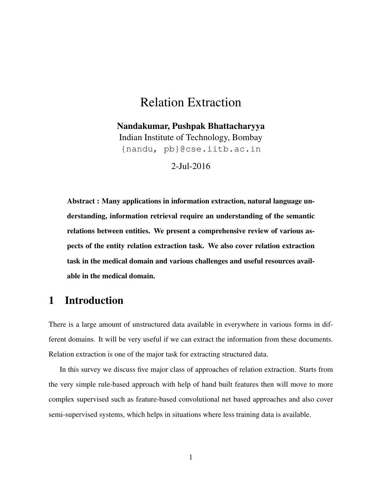# Relation Extraction

Nandakumar, Pushpak Bhattacharyya Indian Institute of Technology, Bombay {nandu, pb}@cse.iitb.ac.in

2-Jul-2016

Abstract : Many applications in information extraction, natural language understanding, information retrieval require an understanding of the semantic relations between entities. We present a comprehensive review of various aspects of the entity relation extraction task. We also cover relation extraction task in the medical domain and various challenges and useful resources available in the medical domain.

# 1 Introduction

There is a large amount of unstructured data available in everywhere in various forms in different domains. It will be very useful if we can extract the information from these documents. Relation extraction is one of the major task for extracting structured data.

In this survey we discuss five major class of approaches of relation extraction. Starts from the very simple rule-based approach with help of hand built features then will move to more complex supervised such as feature-based convolutional net based approaches and also cover semi-supervised systems, which helps in situations where less training data is available.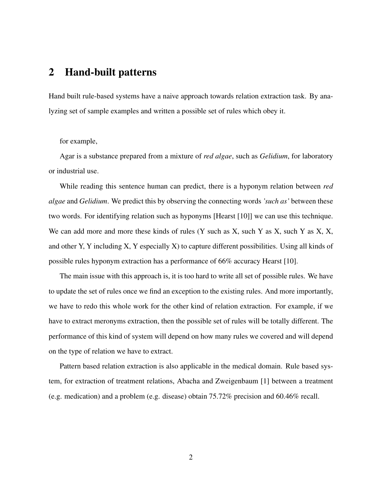## 2 Hand-built patterns

Hand built rule-based systems have a naive approach towards relation extraction task. By analyzing set of sample examples and written a possible set of rules which obey it.

for example,

Agar is a substance prepared from a mixture of *red algae*, such as *Gelidium*, for laboratory or industrial use.

While reading this sentence human can predict, there is a hyponym relation between *red algae* and *Gelidium*. We predict this by observing the connecting words *'such as'* between these two words. For identifying relation such as hyponyms [Hearst [\[10\]](#page-12-0)] we can use this technique. We can add more and more these kinds of rules  $(Y \text{ such as } X, \text{ such } Y \text{ as } X, \text{ such } Y \text{ as } X, X$ , and other Y, Y including X, Y especially X) to capture different possibilities. Using all kinds of possible rules hyponym extraction has a performance of 66% accuracy Hearst [\[10\]](#page-12-0).

The main issue with this approach is, it is too hard to write all set of possible rules. We have to update the set of rules once we find an exception to the existing rules. And more importantly, we have to redo this whole work for the other kind of relation extraction. For example, if we have to extract meronyms extraction, then the possible set of rules will be totally different. The performance of this kind of system will depend on how many rules we covered and will depend on the type of relation we have to extract.

Pattern based relation extraction is also applicable in the medical domain. Rule based system, for extraction of treatment relations, Abacha and Zweigenbaum [\[1\]](#page-10-0) between a treatment (e.g. medication) and a problem (e.g. disease) obtain 75.72% precision and 60.46% recall.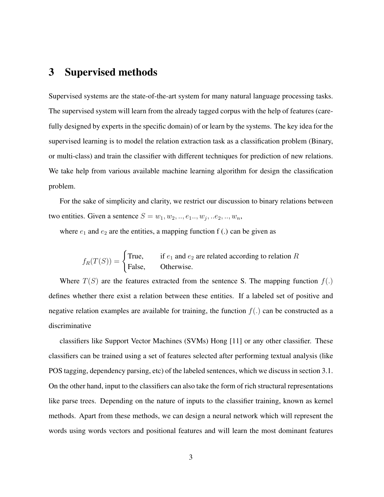# 3 Supervised methods

Supervised systems are the state-of-the-art system for many natural language processing tasks. The supervised system will learn from the already tagged corpus with the help of features (carefully designed by experts in the specific domain) of or learn by the systems. The key idea for the supervised learning is to model the relation extraction task as a classification problem (Binary, or multi-class) and train the classifier with different techniques for prediction of new relations. We take help from various available machine learning algorithm for design the classification problem.

For the sake of simplicity and clarity, we restrict our discussion to binary relations between two entities. Given a sentence  $S = w_1, w_2, \ldots, e_1 \ldots, w_j, \ldots e_2, \ldots, w_n$ ,

where  $e_1$  and  $e_2$  are the entities, a mapping function f (.) can be given as

$$
f_R(T(S)) = \begin{cases} \text{True,} & \text{if } e_1 \text{ and } e_2 \text{ are related according to relation } R \\ \text{False,} & \text{Otherwise.} \end{cases}
$$

Where  $T(S)$  are the features extracted from the sentence S. The mapping function  $f(.)$ defines whether there exist a relation between these entities. If a labeled set of positive and negative relation examples are available for training, the function  $f(.)$  can be constructed as a discriminative

classifiers like Support Vector Machines (SVMs) Hong [\[11\]](#page-12-1) or any other classifier. These classifiers can be trained using a set of features selected after performing textual analysis (like POS tagging, dependency parsing, etc) of the labeled sentences, which we discuss in section [3.1.](#page-3-0) On the other hand, input to the classifiers can also take the form of rich structural representations like parse trees. Depending on the nature of inputs to the classifier training, known as kernel methods. Apart from these methods, we can design a neural network which will represent the words using words vectors and positional features and will learn the most dominant features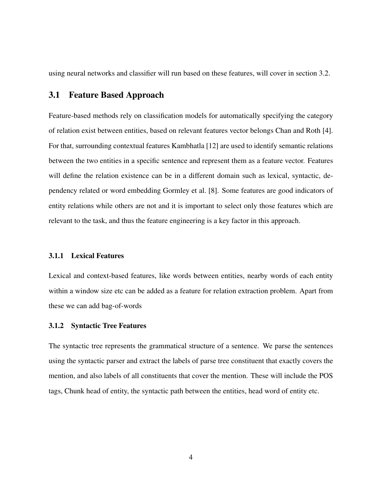using neural networks and classifier will run based on these features, will cover in section [3.2.](#page-5-0)

### <span id="page-3-0"></span>3.1 Feature Based Approach

Feature-based methods rely on classification models for automatically specifying the category of relation exist between entities, based on relevant features vector belongs Chan and Roth [\[4\]](#page-11-0). For that, surrounding contextual features Kambhatla [\[12\]](#page-12-2) are used to identify semantic relations between the two entities in a specific sentence and represent them as a feature vector. Features will define the relation existence can be in a different domain such as lexical, syntactic, dependency related or word embedding Gormley et al. [\[8\]](#page-11-1). Some features are good indicators of entity relations while others are not and it is important to select only those features which are relevant to the task, and thus the feature engineering is a key factor in this approach.

#### 3.1.1 Lexical Features

Lexical and context-based features, like words between entities, nearby words of each entity within a window size etc can be added as a feature for relation extraction problem. Apart from these we can add bag-of-words

#### 3.1.2 Syntactic Tree Features

The syntactic tree represents the grammatical structure of a sentence. We parse the sentences using the syntactic parser and extract the labels of parse tree constituent that exactly covers the mention, and also labels of all constituents that cover the mention. These will include the POS tags, Chunk head of entity, the syntactic path between the entities, head word of entity etc.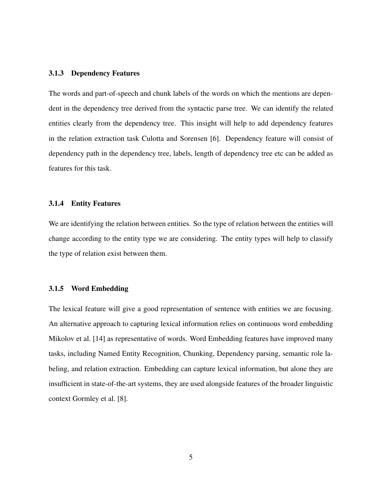#### 3.1.3 Dependency Features

The words and part-of-speech and chunk labels of the words on which the mentions are dependent in the dependency tree derived from the syntactic parse tree. We can identify the related entities clearly from the dependency tree. This insight will help to add dependency features in the relation extraction task Culotta and Sorensen [\[6\]](#page-11-2). Dependency feature will consist of dependency path in the dependency tree, labels, length of dependency tree etc can be added as features for this task.

### 3.1.4 Entity Features

We are identifying the relation between entities. So the type of relation between the entities will change according to the entity type we are considering. The entity types will help to classify the type of relation exist between them.

#### 3.1.5 Word Embedding

The lexical feature will give a good representation of sentence with entities we are focusing. An alternative approach to capturing lexical information relies on continuous word embedding Mikolov et al. [\[14\]](#page-12-3) as representative of words. Word Embedding features have improved many tasks, including Named Entity Recognition, Chunking, Dependency parsing, semantic role labeling, and relation extraction. Embedding can capture lexical information, but alone they are insufficient in state-of-the-art systems, they are used alongside features of the broader linguistic context Gormley et al. [\[8\]](#page-11-1).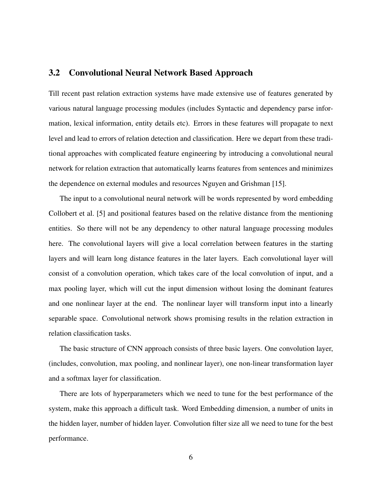### <span id="page-5-0"></span>3.2 Convolutional Neural Network Based Approach

Till recent past relation extraction systems have made extensive use of features generated by various natural language processing modules (includes Syntactic and dependency parse information, lexical information, entity details etc). Errors in these features will propagate to next level and lead to errors of relation detection and classification. Here we depart from these traditional approaches with complicated feature engineering by introducing a convolutional neural network for relation extraction that automatically learns features from sentences and minimizes the dependence on external modules and resources Nguyen and Grishman [\[15\]](#page-12-4).

The input to a convolutional neural network will be words represented by word embedding Collobert et al. [\[5\]](#page-11-3) and positional features based on the relative distance from the mentioning entities. So there will not be any dependency to other natural language processing modules here. The convolutional layers will give a local correlation between features in the starting layers and will learn long distance features in the later layers. Each convolutional layer will consist of a convolution operation, which takes care of the local convolution of input, and a max pooling layer, which will cut the input dimension without losing the dominant features and one nonlinear layer at the end. The nonlinear layer will transform input into a linearly separable space. Convolutional network shows promising results in the relation extraction in relation classification tasks.

The basic structure of CNN approach consists of three basic layers. One convolution layer, (includes, convolution, max pooling, and nonlinear layer), one non-linear transformation layer and a softmax layer for classification.

There are lots of hyperparameters which we need to tune for the best performance of the system, make this approach a difficult task. Word Embedding dimension, a number of units in the hidden layer, number of hidden layer. Convolution filter size all we need to tune for the best performance.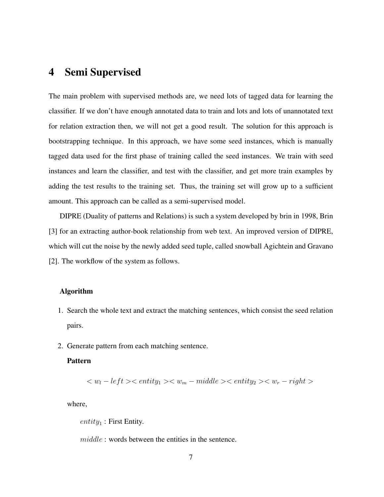## 4 Semi Supervised

The main problem with supervised methods are, we need lots of tagged data for learning the classifier. If we don't have enough annotated data to train and lots and lots of unannotated text for relation extraction then, we will not get a good result. The solution for this approach is bootstrapping technique. In this approach, we have some seed instances, which is manually tagged data used for the first phase of training called the seed instances. We train with seed instances and learn the classifier, and test with the classifier, and get more train examples by adding the test results to the training set. Thus, the training set will grow up to a sufficient amount. This approach can be called as a semi-supervised model.

DIPRE (Duality of patterns and Relations) is such a system developed by brin in 1998, Brin [\[3\]](#page-11-4) for an extracting author-book relationship from web text. An improved version of DIPRE, which will cut the noise by the newly added seed tuple, called snowball Agichtein and Gravano [\[2\]](#page-10-1). The workflow of the system as follows.

### Algorithm

- 1. Search the whole text and extract the matching sentences, which consist the seed relation pairs.
- 2. Generate pattern from each matching sentence.

#### Pattern

$$
\langle w_l - left \rangle \langle \mathit{entity_1} \rangle \langle w_m - middle \rangle \langle \mathit{entity_2} \rangle \langle w_r - right \rangle
$$

where,

 $entity_1$ : First Entity.

middle : words between the entities in the sentence.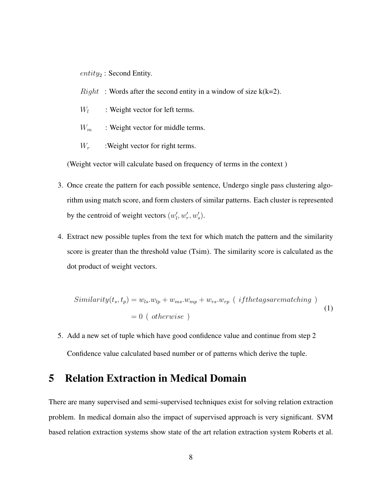$entity_2$ : Second Entity.

- $Right$ : Words after the second entity in a window of size  $k(k=2)$ .
- $W_l$ : Weight vector for left terms.
- $W_m$  : Weight vector for middle terms.
- $W_r$  :Weight vector for right terms.

(Weight vector will calculate based on frequency of terms in the context )

- 3. Once create the pattern for each possible sentence, Undergo single pass clustering algorithm using match score, and form clusters of similar patterns. Each cluster is represented by the centroid of weight vectors  $(w'_l, w'_r, w'_s)$ .
- 4. Extract new possible tuples from the text for which match the pattern and the similarity score is greater than the threshold value (Tsim). The similarity score is calculated as the dot product of weight vectors.

$$
Similarity(t_s, t_p) = w_{ls}.w_{lp} + w_{ms}.w_{mp} + w_{rs}.w_{rp} (if the tags are matching)
$$

$$
= 0 (otherwise)
$$
 (1)

5. Add a new set of tuple which have good confidence value and continue from step 2 Confidence value calculated based number or of patterns which derive the tuple.

# 5 Relation Extraction in Medical Domain

There are many supervised and semi-supervised techniques exist for solving relation extraction problem. In medical domain also the impact of supervised approach is very significant. SVM based relation extraction systems show state of the art relation extraction system Roberts et al.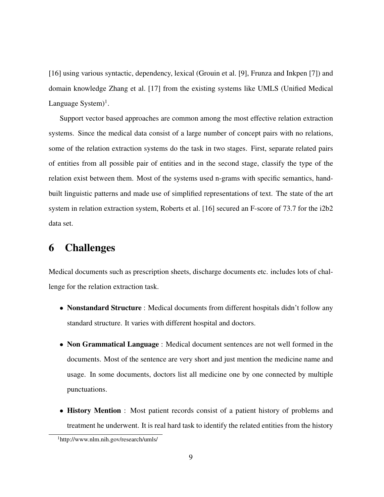[\[16\]](#page-12-5) using various syntactic, dependency, lexical (Grouin et al. [\[9\]](#page-11-5), Frunza and Inkpen [\[7\]](#page-11-6)) and domain knowledge Zhang et al. [\[17\]](#page-12-6) from the existing systems like UMLS (Unified Medical Language System $)^1$  $)^1$ .

Support vector based approaches are common among the most effective relation extraction systems. Since the medical data consist of a large number of concept pairs with no relations, some of the relation extraction systems do the task in two stages. First, separate related pairs of entities from all possible pair of entities and in the second stage, classify the type of the relation exist between them. Most of the systems used n-grams with specific semantics, handbuilt linguistic patterns and made use of simplified representations of text. The state of the art system in relation extraction system, Roberts et al. [\[16\]](#page-12-5) secured an F-score of 73.7 for the i2b2 data set.

# 6 Challenges

Medical documents such as prescription sheets, discharge documents etc. includes lots of challenge for the relation extraction task.

- Nonstandard Structure : Medical documents from different hospitals didn't follow any standard structure. It varies with different hospital and doctors.
- Non Grammatical Language : Medical document sentences are not well formed in the documents. Most of the sentence are very short and just mention the medicine name and usage. In some documents, doctors list all medicine one by one connected by multiple punctuations.
- History Mention : Most patient records consist of a patient history of problems and treatment he underwent. It is real hard task to identify the related entities from the history

<span id="page-8-0"></span><sup>1</sup>http://www.nlm.nih.gov/research/umls/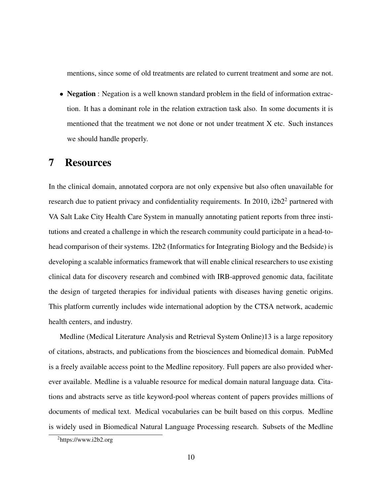mentions, since some of old treatments are related to current treatment and some are not.

• Negation : Negation is a well known standard problem in the field of information extraction. It has a dominant role in the relation extraction task also. In some documents it is mentioned that the treatment we not done or not under treatment X etc. Such instances we should handle properly.

## 7 Resources

In the clinical domain, annotated corpora are not only expensive but also often unavailable for research due to patient privacy and confidentiality requirements. In [2](#page-9-0)010, i2b2<sup>2</sup> partnered with VA Salt Lake City Health Care System in manually annotating patient reports from three institutions and created a challenge in which the research community could participate in a head-tohead comparison of their systems. I2b2 (Informatics for Integrating Biology and the Bedside) is developing a scalable informatics framework that will enable clinical researchers to use existing clinical data for discovery research and combined with IRB-approved genomic data, facilitate the design of targeted therapies for individual patients with diseases having genetic origins. This platform currently includes wide international adoption by the CTSA network, academic health centers, and industry.

Medline (Medical Literature Analysis and Retrieval System Online)13 is a large repository of citations, abstracts, and publications from the biosciences and biomedical domain. PubMed is a freely available access point to the Medline repository. Full papers are also provided wherever available. Medline is a valuable resource for medical domain natural language data. Citations and abstracts serve as title keyword-pool whereas content of papers provides millions of documents of medical text. Medical vocabularies can be built based on this corpus. Medline is widely used in Biomedical Natural Language Processing research. Subsets of the Medline

<span id="page-9-0"></span> $^{2}$ https://www.i2b2.org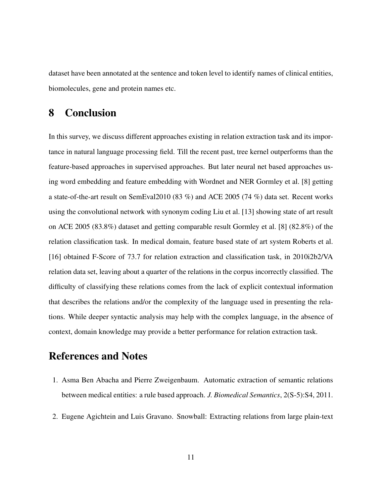dataset have been annotated at the sentence and token level to identify names of clinical entities, biomolecules, gene and protein names etc.

# 8 Conclusion

In this survey, we discuss different approaches existing in relation extraction task and its importance in natural language processing field. Till the recent past, tree kernel outperforms than the feature-based approaches in supervised approaches. But later neural net based approaches using word embedding and feature embedding with Wordnet and NER Gormley et al. [\[8\]](#page-11-1) getting a state-of-the-art result on SemEval2010 (83 %) and ACE 2005 (74 %) data set. Recent works using the convolutional network with synonym coding Liu et al. [\[13\]](#page-12-7) showing state of art result on ACE 2005 (83.8%) dataset and getting comparable result Gormley et al. [\[8\]](#page-11-1) (82.8%) of the relation classification task. In medical domain, feature based state of art system Roberts et al. [\[16\]](#page-12-5) obtained F-Score of 73.7 for relation extraction and classification task, in 2010i2b2/VA relation data set, leaving about a quarter of the relations in the corpus incorrectly classified. The difficulty of classifying these relations comes from the lack of explicit contextual information that describes the relations and/or the complexity of the language used in presenting the relations. While deeper syntactic analysis may help with the complex language, in the absence of context, domain knowledge may provide a better performance for relation extraction task.

# References and Notes

- <span id="page-10-0"></span>1. Asma Ben Abacha and Pierre Zweigenbaum. Automatic extraction of semantic relations between medical entities: a rule based approach. *J. Biomedical Semantics*, 2(S-5):S4, 2011.
- <span id="page-10-1"></span>2. Eugene Agichtein and Luis Gravano. Snowball: Extracting relations from large plain-text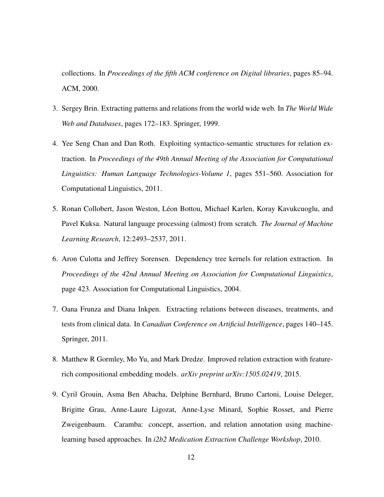collections. In *Proceedings of the fifth ACM conference on Digital libraries*, pages 85–94. ACM, 2000.

- <span id="page-11-4"></span>3. Sergey Brin. Extracting patterns and relations from the world wide web. In *The World Wide Web and Databases*, pages 172–183. Springer, 1999.
- <span id="page-11-0"></span>4. Yee Seng Chan and Dan Roth. Exploiting syntactico-semantic structures for relation extraction. In *Proceedings of the 49th Annual Meeting of the Association for Computational Linguistics: Human Language Technologies-Volume 1*, pages 551–560. Association for Computational Linguistics, 2011.
- <span id="page-11-3"></span>5. Ronan Collobert, Jason Weston, Léon Bottou, Michael Karlen, Koray Kavukcuoglu, and Pavel Kuksa. Natural language processing (almost) from scratch. *The Journal of Machine Learning Research*, 12:2493–2537, 2011.
- <span id="page-11-2"></span>6. Aron Culotta and Jeffrey Sorensen. Dependency tree kernels for relation extraction. In *Proceedings of the 42nd Annual Meeting on Association for Computational Linguistics*, page 423. Association for Computational Linguistics, 2004.
- <span id="page-11-6"></span>7. Oana Frunza and Diana Inkpen. Extracting relations between diseases, treatments, and tests from clinical data. In *Canadian Conference on Artificial Intelligence*, pages 140–145. Springer, 2011.
- <span id="page-11-1"></span>8. Matthew R Gormley, Mo Yu, and Mark Dredze. Improved relation extraction with featurerich compositional embedding models. *arXiv preprint arXiv:1505.02419*, 2015.
- <span id="page-11-5"></span>9. Cyril Grouin, Asma Ben Abacha, Delphine Bernhard, Bruno Cartoni, Louise Deleger, Brigitte Grau, Anne-Laure Ligozat, Anne-Lyse Minard, Sophie Rosset, and Pierre Zweigenbaum. Caramba: concept, assertion, and relation annotation using machinelearning based approaches. In *i2b2 Medication Extraction Challenge Workshop*, 2010.